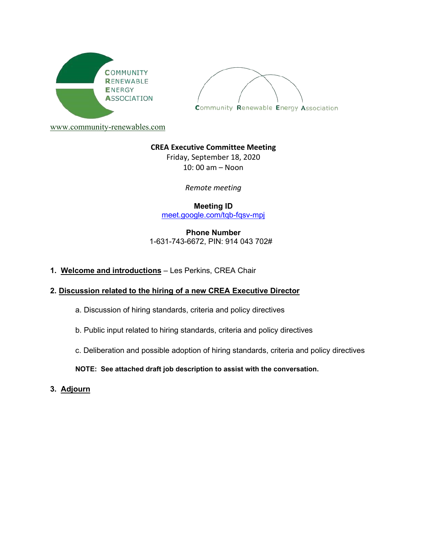



[www.community-renewables.com](http://www.community-renewables.com/)

#### **CREA Executive Committee Meeting**

Friday, September 18, 2020 10: 00 am – Noon

*Remote meeting*

**Meeting ID** [meet.google.com/tqb-fqsv-mpj](https://meet.google.com/tqb-fqsv-mpj?hs=122&authuser=0)

**Phone Number** 1-631-743-6672, PIN: 914 043 702#

**1. Welcome and introductions** – Les Perkins, CREA Chair

## **2. Discussion related to the hiring of a new CREA Executive Director**

- a. Discussion of hiring standards, criteria and policy directives
- b. Public input related to hiring standards, criteria and policy directives
- c. Deliberation and possible adoption of hiring standards, criteria and policy directives

**NOTE: See attached draft job description to assist with the conversation.**

**3. Adjourn**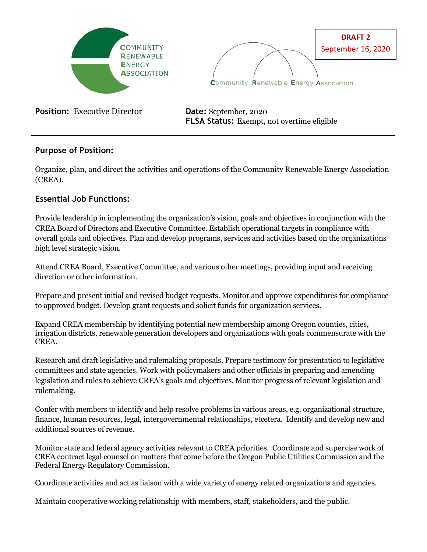



**Position:** Executive Director **Date:** September, 2020

**FLSA Status:** Exempt, not overtime eligible

# **Purpose of Position:**

Organize, plan, and direct the activities and operations of the Community Renewable Energy Association (CREA).

# **Essential Job Functions:**

Provide leadership in implementing the organization's vision, goals and objectives in conjunction with the CREA Board of Directors and Executive Committee. Establish operational targets in compliance with overall goals and objectives. Plan and develop programs, services and activities based on the organizations high level strategic vision.

Attend CREA Board, Executive Committee, and various other meetings, providing input and receiving direction or other information.

Prepare and present initial and revised budget requests. Monitor and approve expenditures for compliance to approved budget. Develop grant requests and solicit funds for organization services.

Expand CREA membership by identifying potential new membership among Oregon counties, cities, irrigation districts, renewable generation developers and organizations with goals commensurate with the CREA.

Research and draft legislative and rulemaking proposals. Prepare testimony for presentation to legislative committees and state agencies. Work with policymakers and other officials in preparing and amending legislation and rules to achieve CREA's goals and objectives. Monitor progress of relevant legislation and rulemaking.

Confer with members to identify and help resolve problems in various areas, e.g. organizational structure, finance, human resources, legal, intergovernmental relationships, etcetera. Identify and develop new and additional sources of revenue.

Monitor state and federal agency activities relevant to CREA priorities. Coordinate and supervise work of CREA contract legal counsel on matters that come before the Oregon Public Utilities Commission and the Federal Energy Regulatory Commission.

Coordinate activities and act as liaison with a wide variety of energy related organizations and agencies.

Maintain cooperative working relationship with members, staff, stakeholders, and the public.